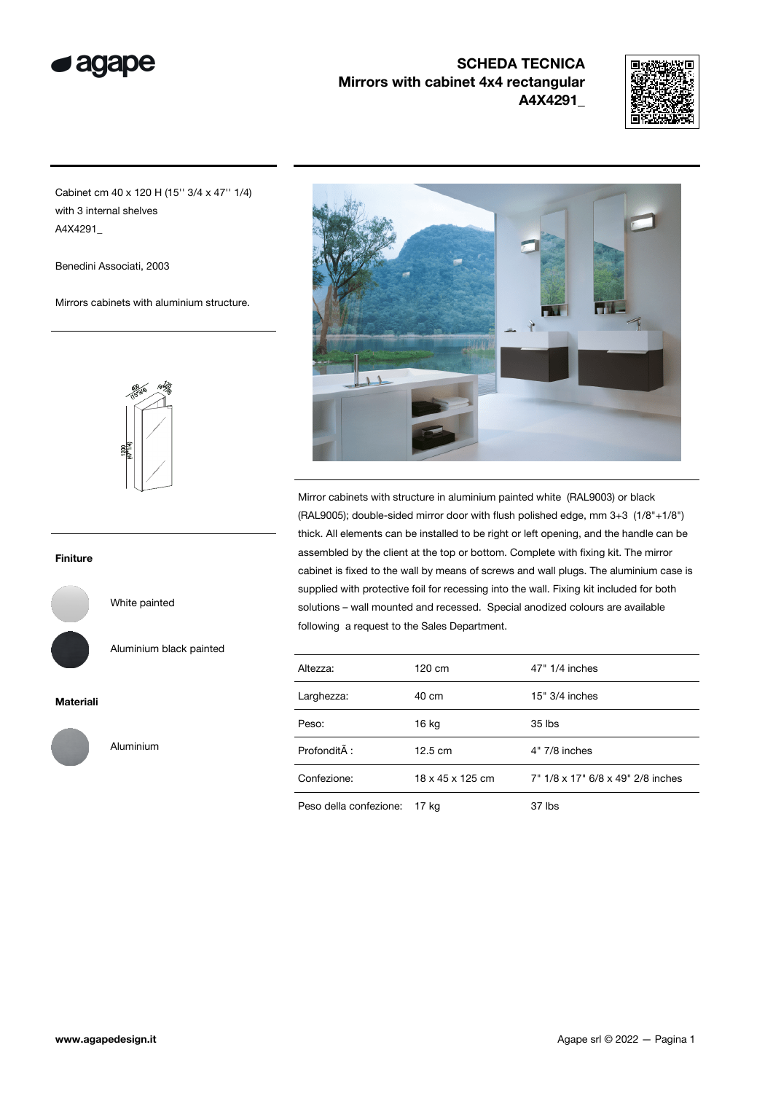

# SCHEDA TECNICA Mirrors with cabinet 4x4 rectangular A4X4291\_



Cabinet cm 40 x 120 H (15'' 3/4 x 47'' 1/4) with 3 internal shelves A4X4291\_

Benedini Associati, 2003

Mirrors cabinets with aluminium structure.



#### Finiture

White painted

Aluminium

Aluminium black painted

### Materiali





Mirror cabinets with structure in aluminium painted white (RAL9003) or black (RAL9005); double-sided mirror door with flush polished edge, mm 3+3 (1/8"+1/8") thick. All elements can be installed to be right or left opening, and the handle can be assembled by the client at the top or bottom. Complete with fixing kit. The mirror cabinet is fixed to the wall by means of screws and wall plugs. The aluminium case is supplied with protective foil for recessing into the wall. Fixing kit included for both solutions – wall mounted and recessed. Special anodized colours are available following a request to the Sales Department.

| Altezza:               | 120 cm            | 47" 1/4 inches                    |
|------------------------|-------------------|-----------------------------------|
| Larghezza:             | 40 cm             | $15" 3/4$ inches                  |
| Peso:                  | $16$ kg           | 35 lbs                            |
| Profondità :           | $12.5 \text{ cm}$ | $4"$ 7/8 inches                   |
| Confezione:            | 18 x 45 x 125 cm  | 7" 1/8 x 17" 6/8 x 49" 2/8 inches |
| Peso della confezione: | 17 ka             | 37 lbs                            |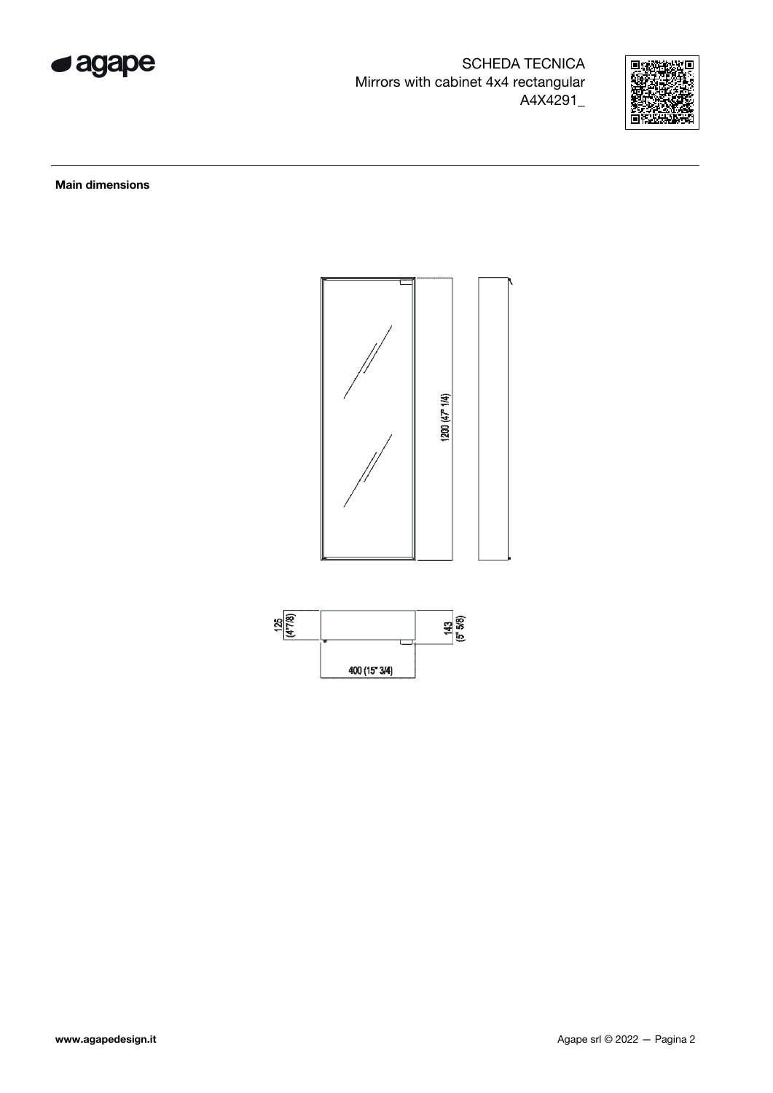

SCHEDA TECNICA Mirrors with cabinet 4x4 rectangular A4X4291\_



Main dimensions